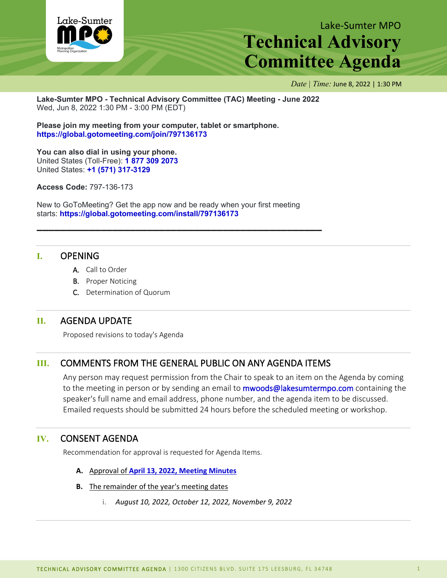

# Lake-Sumter MPO **Technical Advisory Committee Agenda**

*Date | Time:* June 8, 2022 | 1:30 PM

**Lake-Sumter MPO - Technical Advisory Committee (TAC) Meeting - June 2022** Wed, Jun 8, 2022 1:30 PM - 3:00 PM (EDT)

**Please join my meeting from your computer, tablet or smartphone. <https://global.gotomeeting.com/join/797136173>**

**You can also dial in using your phone.** United States (Toll-Free): **[1 877 309 2073](tel:+18773092073,,797136173)** United States: **[+1 \(571\) 317-3129](tel:+15713173129,,797136173)**

**Access Code:** 797-136-173

New to GoToMeeting? Get the app now and be ready when your first meeting starts: **<https://global.gotomeeting.com/install/797136173>**

**\_\_\_\_\_\_\_\_\_\_\_\_\_\_\_\_\_\_\_\_\_\_\_\_\_\_\_\_\_\_\_\_\_\_\_\_\_\_\_\_\_\_\_\_\_\_\_\_\_**

## **I.** OPENING

- A. Call to Order
- B. Proper Noticing
- C. Determination of Quorum

## **II.** AGENDA UPDATE

Proposed revisions to today's Agenda

## **III.** COMMENTS FROM THE GENERAL PUBLIC ON ANY AGENDA ITEMS

Any person may request permission from the Chair to speak to an item on the Agenda by coming to the meeting in person or by sending an email to **mwoods@lakesumtermpo.com** containing the speaker's full name and email address, phone number, and the agenda item to be discussed. Emailed requests should be submitted 24 hours before the scheduled meeting or workshop.

## **IV.** CONSENT AGENDA

Recommendation for approval is requested for Agenda Items.

- **A.** Approval of **[April 13, 2022, Meeting Minutes](http://www.lakesumtermpo.com/media/m2djxoum/april-13-2022-tac-minutes.pdf)**
- **B.** The remainder of the year's meeting dates
	- i. *August 10, 2022, October 12, 2022, November 9, 2022*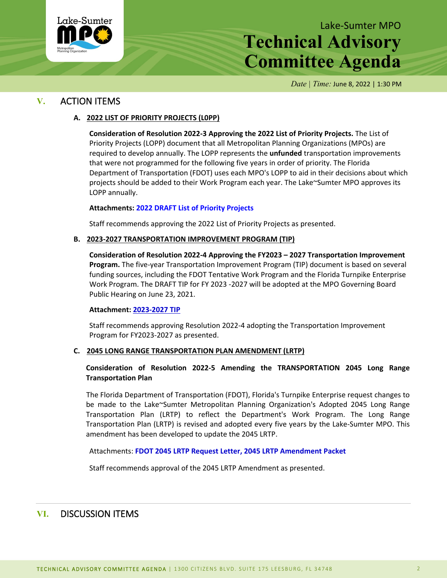

# Lake-Sumter MPO **Technical Advisory Committee Agenda**

*Date | Time:* June 8, 2022 | 1:30 PM

## **V.** ACTION ITEMS

### **A. 2022 LIST OF PRIORITY PROJECTS (L0PP)**

**Consideration of Resolution 2022-3 Approving the 2022 List of Priority Projects.** The List of Priority Projects (LOPP) document that all Metropolitan Planning Organizations (MPOs) are required to develop annually. The LOPP represents the **unfunded** transportation improvements that were not programmed for the following five years in order of priority. The Florida Department of Transportation (FDOT) uses each MPO's LOPP to aid in their decisions about which projects should be added to their Work Program each year. The Lake~Sumter MPO approves its LOPP annually.

#### **Attachments: 2022 [DRAFT List of Priority Projects](http://www.lakesumtermpo.com/media/f32bmcpz/2022-lsmpo-lopp_final-draft_june-committee-agenda_06-01-2022.pdf)**

Staff recommends approving the 2022 List of Priority Projects as presented.

#### **B. 2023-2027 TRANSPORTATION IMPROVEMENT PROGRAM (TIP)**

**Consideration of Resolution 2022-4 Approving the FY2023 – 2027 Transportation Improvement Program.** The five-year Transportation Improvement Program (TIP) document is based on several funding sources, including the FDOT Tentative Work Program and the Florida Turnpike Enterprise Work Program. The DRAFT TIP for FY 2023 -2027 will be adopted at the MPO Governing Board Public Hearing on June 23, 2021.

#### **Attachment: [2023-2027 TIP](http://www.lakesumtermpo.com/media/0ysgi5ja/lsmpo2022tipreportjune012022-1.pdf)**

Staff recommends approving Resolution 2022-4 adopting the Transportation Improvement Program for FY2023-2027 as presented.

### **C. 2045 LONG RANGE TRANSPORTATION PLAN AMENDMENT (LRTP)**

### **Consideration of Resolution 2022-5 Amending the TRANSPORTATION 2045 Long Range Transportation Plan**

 The Florida Department of Transportation (FDOT), Florida's Turnpike Enterprise request changes to be made to the Lake~Sumter Metropolitan Planning Organization's Adopted 2045 Long Range Transportation Plan (LRTP) to reflect the Department's Work Program. The Long Range Transportation Plan (LRTP) is revised and adopted every five years by the Lake-Sumter MPO. This amendment has been developed to update the 2045 LRTP.

Attachments: **[FDOT 2045 LRTP Request Letter,](http://www.lakesumtermpo.com/media/kwzf0tge/2022-06-fte-lrtp-amendment-request.pdf) [2045 LRTP Amendment](http://www.lakesumtermpo.com/media/zael0zus/lsmpo_2045-lrtp_amendment_june-2022_agenda.pdf) Packet**

Staff recommends approval of the 2045 LRTP Amendment as presented.

## **VI.** DISCUSSION ITEMS